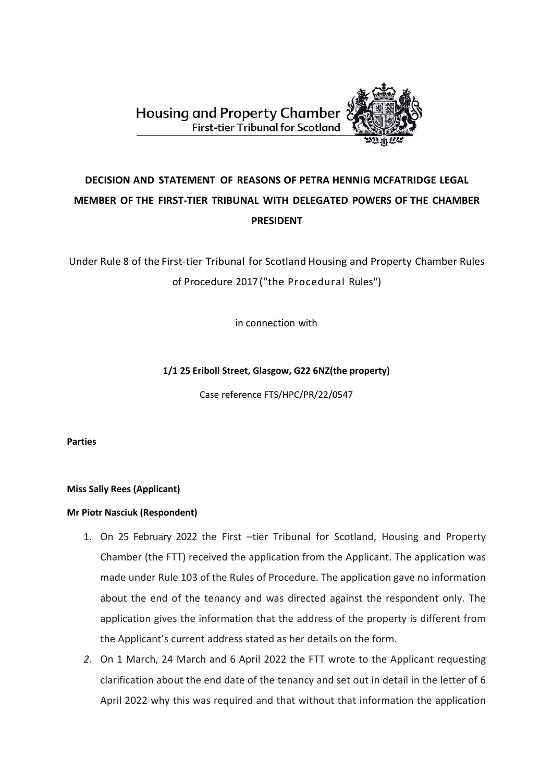**Housing and Property Chamber First-tier Tribunal for Scotland** 



# **DECISION AND STATEMENT OF REASONS OF PETRA HENNIG MCFATRIDGE LEGAL MEMBER OF THE FIRST-TIER TRIBUNAL WITH DELEGATED POWERS OF THE CHAMBER PRESIDENT**

Under Rule 8 of the First-tier Tribunal for Scotland Housing and Property Chamber Rules of Procedure 2017("the Procedural Rules")

in connection with

# **1/1 25 Eriboll Street, Glasgow, G22 6NZ(the property)**

Case reference FTS/HPC/PR/22/0547

**Parties**

**Miss Sally Rees (Applicant)** 

### **Mr Piotr Nasciuk (Respondent)**

- 1. On 25 February 2022 the First –tier Tribunal for Scotland, Housing and Property Chamber (the FTT) received the application from the Applicant. The application was made under Rule 103 of the Rules of Procedure. The application gave no information about the end of the tenancy and was directed against the respondent only. The application gives the information that the address of the property is different from the Applicant's current address stated as her details on the form.
- *2.* On 1 March, 24 March and 6 April 2022 the FTT wrote to the Applicant requesting clarification about the end date of the tenancy and set out in detail in the letter of 6 April 2022 why this was required and that without that information the application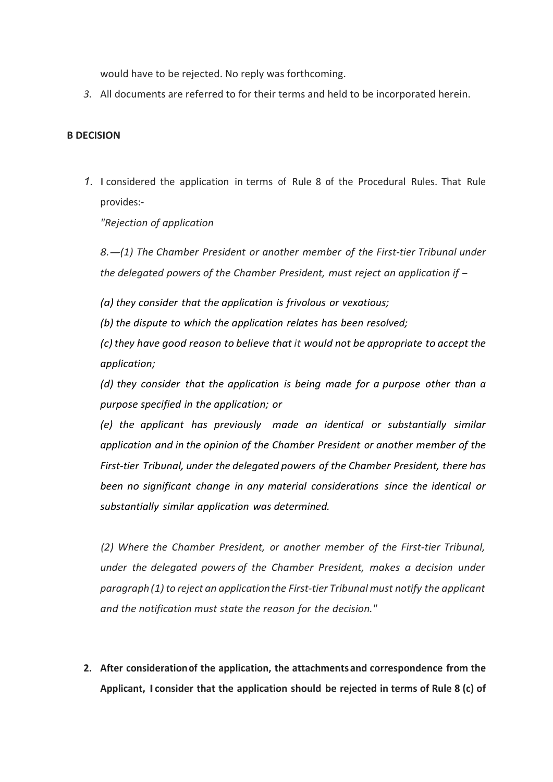would have to be rejected. No reply was forthcoming.

*3.* All documents are referred to for their terms and held to be incorporated herein.

# **B DECISION**

*1.* I considered the application in terms of Rule 8 of the Procedural Rules. That Rule provides:-

*"Rejection of application*

*8.-(1) The Chamber President or another member of the First-tier Tribunal under the delegated powers of the Chamber President, must reject an application if -*

*(a) they consider that the application is frivolous or vexatious;*

*(b) the dispute to which the application relates has been resolved;*

*(c) they have good reason to believe that it would not be appropriate to accept the application;*

*(d) they consider that the application is being made for a purpose other than a purpose specified in the application; or*

*(e) the applicant has previously made an identical or substantially similar application and in the opinion of the Chamber President or another member of the First-tier Tribunal, under the delegated powers of the Chamber President, there has been no significant change in any material considerations since the identical or substantially similar application was determined.*

*(2) Where the Chamber President, or another member of the First-tier Tribunal, under the delegated powers of the Chamber President, makes a decision under paragraph(1)to reject an applicationthe First-tier Tribunalmust notify the applicant and the notification must state the reason for the decision."*

**2. After considerationof the application, the attachments and correspondence from the Applicant, I consider that the application should be rejected in terms of Rule 8 (c) of**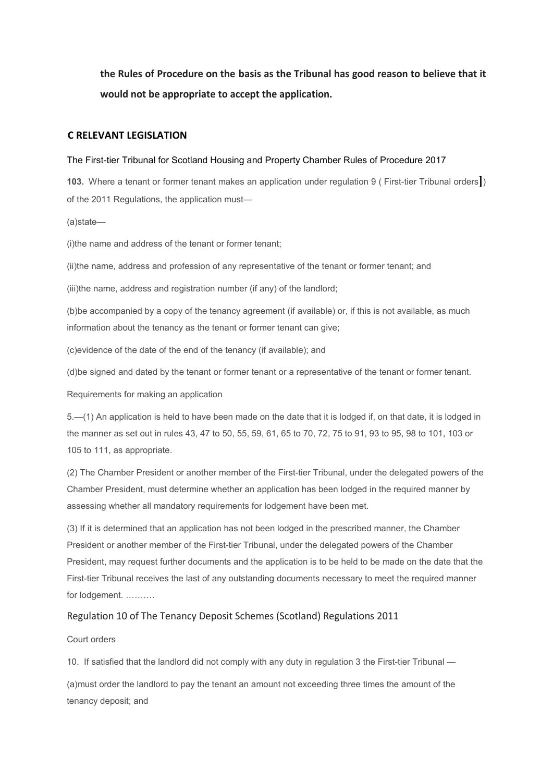**the Rules of Procedure on the basis as the Tribunal has good reason to believe that it would not be appropriate to accept the application.** 

#### **C RELEVANT LEGISLATION**

#### The First-tier Tribunal for Scotland Housing and Property Chamber Rules of Procedure 2017

**103.** Where a tenant or former tenant makes an application under regulation 9 ( First-tier Tribunal orders**]**) of the 2011 Regulations, the application must—

(a)state—

(i)the name and address of the tenant or former tenant;

(ii)the name, address and profession of any representative of the tenant or former tenant; and

(iii)the name, address and registration number (if any) of the landlord;

(b)be accompanied by a copy of the tenancy agreement (if available) or, if this is not available, as much information about the tenancy as the tenant or former tenant can give;

(c)evidence of the date of the end of the tenancy (if available); and

(d)be signed and dated by the tenant or former tenant or a representative of the tenant or former tenant.

Requirements for making an application

5.—(1) An application is held to have been made on the date that it is lodged if, on that date, it is lodged in the manner as set out in rules 43, 47 to 50, 55, 59, 61, 65 to 70, 72, 75 to 91, 93 to 95, 98 to 101, 103 or 105 to 111, as appropriate.

(2) The Chamber President or another member of the First-tier Tribunal, under the delegated powers of the Chamber President, must determine whether an application has been lodged in the required manner by assessing whether all mandatory requirements for lodgement have been met.

(3) If it is determined that an application has not been lodged in the prescribed manner, the Chamber President or another member of the First-tier Tribunal, under the delegated powers of the Chamber President, may request further documents and the application is to be held to be made on the date that the First-tier Tribunal receives the last of any outstanding documents necessary to meet the required manner for lodgement. ……….

### Regulation 10 of The Tenancy Deposit Schemes (Scotland) Regulations 2011

#### Court orders

10. If satisfied that the landlord did not comply with any duty in regulation 3 the First-tier Tribunal —

(a)must order the landlord to pay the tenant an amount not exceeding three times the amount of the tenancy deposit; and